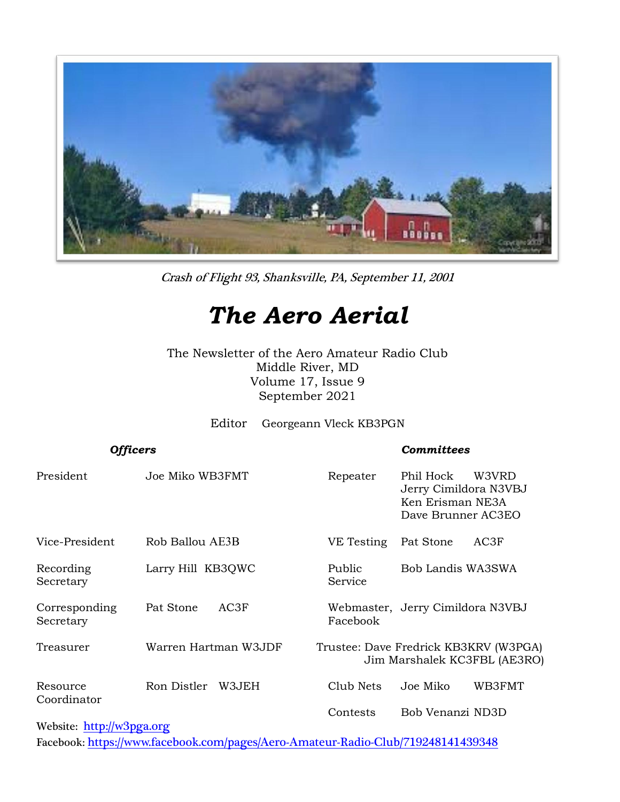

Crash of Flight 93, Shanksville, PA, September 11, 2001

# *The Aero Aerial*

The Newsletter of the Aero Amateur Radio Club Middle River, MD Volume 17, Issue 9 September 2021

Editor Georgeann Vleck KB3PGN

| <b>Officers</b>            |                      | <b>Committees</b>                                                     |                                                                                       |  |
|----------------------------|----------------------|-----------------------------------------------------------------------|---------------------------------------------------------------------------------------|--|
| President                  | Joe Miko WB3FMT      | Repeater                                                              | Phil Hock<br>W3VRD<br>Jerry Cimildora N3VBJ<br>Ken Erisman NE3A<br>Dave Brunner AC3EO |  |
| Vice-President             | Rob Ballou AE3B      | VE Testing                                                            | Pat Stone<br>AC3F                                                                     |  |
| Recording<br>Secretary     | Larry Hill KB3QWC    | Public<br>Service                                                     | Bob Landis WA3SWA                                                                     |  |
| Corresponding<br>Secretary | AC3F<br>Pat Stone    | Facebook                                                              | Webmaster, Jerry Cimildora N3VBJ                                                      |  |
| Treasurer                  | Warren Hartman W3JDF | Trustee: Dave Fredrick KB3KRV (W3PGA)<br>Jim Marshalek KC3FBL (AE3RO) |                                                                                       |  |
| Resource                   | Ron Distler<br>W3JEH | Club Nets                                                             | Joe Miko<br>WB3FMT                                                                    |  |
| Coordinator                |                      | Contests                                                              | Bob Venanzi ND3D                                                                      |  |

Website: [http://w](http://home.comcast.net/~frank-stone/Aero%20ARC/aero.htm)3pga.org

Facebook: <https://www.facebook.com/pages/Aero-Amateur-Radio-Club/719248141439348>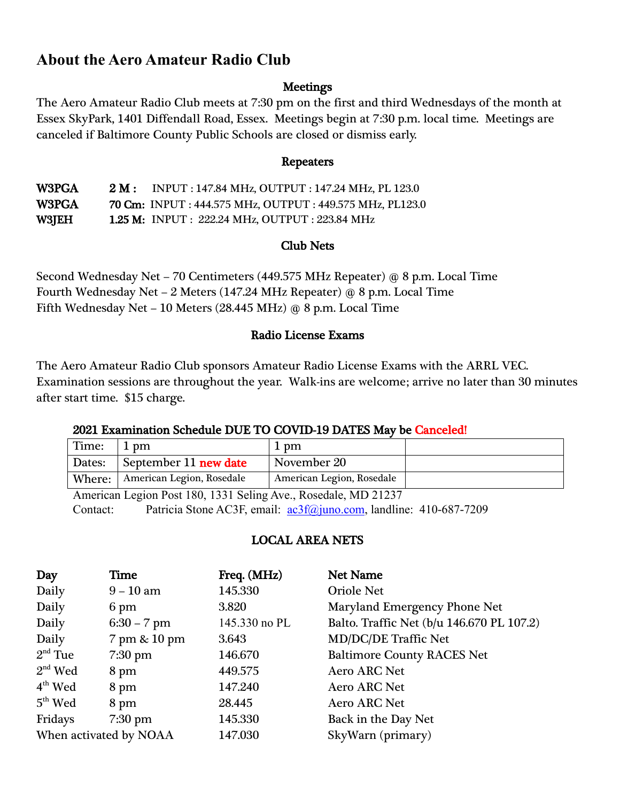# **About the Aero Amateur Radio Club**

## **Meetings**

The Aero Amateur Radio Club meets at 7:30 pm on the first and third Wednesdays of the month at Essex SkyPark, 1401 Diffendall Road, Essex. Meetings begin at 7:30 p.m. local time. Meetings are canceled if Baltimore County Public Schools are closed or dismiss early.

#### Repeaters

W3PGA 2 M : INPUT : 147.84 MHz, OUTPUT : 147.24 MHz, PL 123.0 W3PGA 70 Cm: INPUT : 444.575 MHz, OUTPUT : 449.575 MHz, PL123.0 W3JEH 1.25 M: INPUT : 222.24 MHz, OUTPUT : 223.84 MHz

## Club Nets

Second Wednesday Net – 70 Centimeters (449.575 MHz Repeater) @ 8 p.m. Local Time Fourth Wednesday Net – 2 Meters (147.24 MHz Repeater) @ 8 p.m. Local Time Fifth Wednesday Net – 10 Meters (28.445 MHz) @ 8 p.m. Local Time

## Radio License Exams

The Aero Amateur Radio Club sponsors Amateur Radio License Exams with the ARRL VEC. Examination sessions are throughout the year. Walk-ins are welcome; arrive no later than 30 minutes after start time. \$15 charge.

# 2021 Examination Schedule DUE TO COVID-19 DATES May be Canceled!

| Time:  | $1 \text{ pm}$            | 1 pm                      |  |
|--------|---------------------------|---------------------------|--|
| Dates: | September 11 new date     | November 20               |  |
| Where: | American Legion, Rosedale | American Legion, Rosedale |  |
|        |                           | $\sqrt{2}$                |  |

American Legion Post 180, 1331 Seling Ave., Rosedale, MD 21237 Contact: Patricia Stone AC3F, email:  $\frac{\text{ac3f}}{\text{a} \cdot \text{a} \cdot \text{b}}$  andline: 410-687-7209

# LOCAL AREA NETS

| Day                    | Time              | Freq. (MHz)   | Net Name                                  |  |
|------------------------|-------------------|---------------|-------------------------------------------|--|
| Daily                  | $9 - 10$ am       | 145.330       | <b>Oriole Net</b>                         |  |
| Daily                  | 6 pm              | 3.820         | Maryland Emergency Phone Net              |  |
| Daily                  | $6:30 - 7$ pm     | 145.330 no PL | Balto. Traffic Net (b/u 146.670 PL 107.2) |  |
| Daily                  | 7 pm & 10 pm      | 3.643         | <b>MD/DC/DE Traffic Net</b>               |  |
| $2nd$ Tue              | $7:30 \text{ pm}$ | 146.670       | <b>Baltimore County RACES Net</b>         |  |
| $2nd$ Wed              | 8 pm              | 449.575       | <b>Aero ARC Net</b>                       |  |
| $4th$ Wed              | 8 pm              | 147.240       | <b>Aero ARC Net</b>                       |  |
| $5th$ Wed              | 8 pm              | 28.445        | <b>Aero ARC Net</b>                       |  |
| Fridays                | $7:30$ pm         | 145.330       | Back in the Day Net                       |  |
| When activated by NOAA |                   | 147.030       | SkyWarn (primary)                         |  |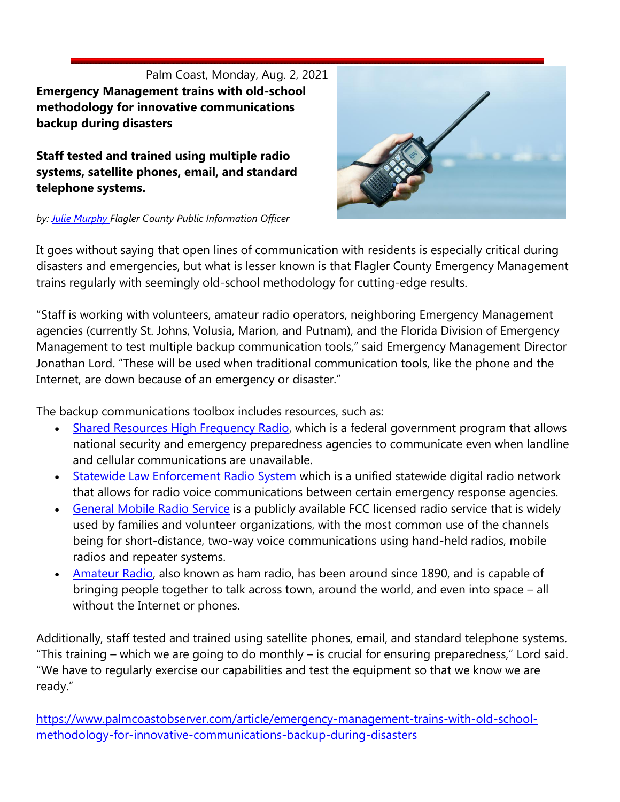Palm Coast, Monday, Aug. 2, 2021 **Emergency Management trains with old-school methodology for innovative communications backup during disasters**

**Staff tested and trained using multiple radio systems, satellite phones, email, and standard telephone systems.** 

*by: [Julie Murphy F](https://www.palmcoastobserver.com/articles/author/julie-murphy)lagler County Public Information Officer* 



It goes without saying that open lines of communication with residents is especially critical during disasters and emergencies, but what is lesser known is that Flagler County Emergency Management trains regularly with seemingly old-school methodology for cutting-edge results.

"Staff is working with volunteers, amateur radio operators, neighboring Emergency Management agencies (currently St. Johns, Volusia, Marion, and Putnam), and the Florida Division of Emergency Management to test multiple backup communication tools," said Emergency Management Director Jonathan Lord. "These will be used when traditional communication tools, like the phone and the Internet, are down because of an emergency or disaster."

The backup communications toolbox includes resources, such as:

- [Shared Resources High Frequency Radio,](https://www.cisa.gov/shared-resources-shares-high-frequency-hf-radio-program) which is a federal government program that allows national security and emergency preparedness agencies to communicate even when landline and cellular communications are unavailable.
- [Statewide Law Enforcement Radio System](https://www.dms.myflorida.com/business_operations/telecommunications/public_safety_communications/radio_communications_services/statewide_law_enforcement_radio_system_slers) which is a unified statewide digital radio network that allows for radio voice communications between certain emergency response agencies.
- **[General Mobile Radio Service](https://www.fcc.gov/general-mobile-radio-service-gmrs)** is a publicly available FCC licensed radio service that is widely used by families and volunteer organizations, with the most common use of the channels being for short-distance, two-way voice communications using hand-held radios, mobile radios and repeater systems.
- [Amateur Radio,](https://www.fcc.gov/amateur-radio-service) also known as ham radio, has been around since 1890, and is capable of bringing people together to talk across town, around the world, and even into space – all without the Internet or phones.

Additionally, staff tested and trained using satellite phones, email, and standard telephone systems. "This training – which we are going to do monthly – is crucial for ensuring preparedness," Lord said. "We have to regularly exercise our capabilities and test the equipment so that we know we are ready."

[https://www.palmcoastobserver.com/article/emergency-management-trains-with-old-school](https://www.palmcoastobserver.com/article/emergency-management-trains-with-old-school-methodology-for-innovative-communications-backup-during-disasters)[methodology-for-innovative-communications-backup-during-disasters](https://www.palmcoastobserver.com/article/emergency-management-trains-with-old-school-methodology-for-innovative-communications-backup-during-disasters)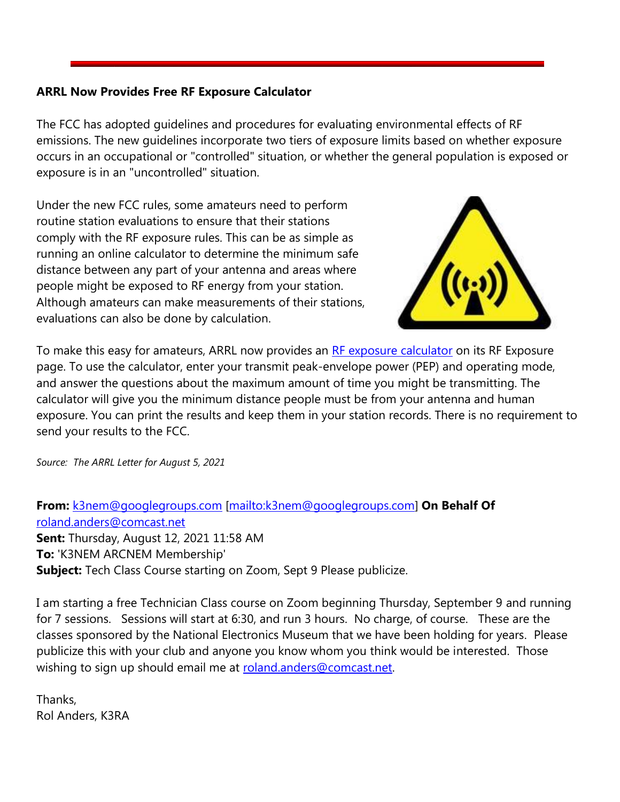# **ARRL Now Provides Free RF Exposure Calculator**

The FCC has adopted guidelines and procedures for evaluating environmental effects of RF emissions. The new guidelines incorporate two tiers of exposure limits based on whether exposure occurs in an occupational or "controlled" situation, or whether the general population is exposed or exposure is in an "uncontrolled" situation.

Under the new FCC rules, some amateurs need to perform routine station evaluations to ensure that their stations comply with the RF exposure rules. This can be as simple as running an online calculator to determine the minimum safe distance between any part of your antenna and areas where people might be exposed to RF energy from your station. Although amateurs can make measurements of their stations, evaluations can also be done by calculation.



To make this easy for amateurs, ARRL now provides an [RF exposure calculator](http://arrl.org/rf-exposure-calculator) on its RF Exposure page. To use the calculator, enter your transmit peak-envelope power (PEP) and operating mode, and answer the questions about the maximum amount of time you might be transmitting. The calculator will give you the minimum distance people must be from your antenna and human exposure. You can print the results and keep them in your station records. There is no requirement to send your results to the FCC.

*Source: The ARRL Letter for August 5, 2021*

**From:** [k3nem@googlegroups.com](mailto:k3nem@googlegroups.com) [\[mailto:k3nem@googlegroups.com\]](mailto:k3nem@googlegroups.com) **On Behalf Of**  [roland.anders@comcast.net](mailto:roland.anders@comcast.net) **Sent:** Thursday, August 12, 2021 11:58 AM **To:** 'K3NEM ARCNEM Membership' **Subject:** Tech Class Course starting on Zoom, Sept 9 Please publicize.

I am starting a free Technician Class course on Zoom beginning Thursday, September 9 and running for 7 sessions. Sessions will start at 6:30, and run 3 hours. No charge, of course. These are the classes sponsored by the National Electronics Museum that we have been holding for years. Please publicize this with your club and anyone you know whom you think would be interested. Those wishing to sign up should email me at [roland.anders@comcast.net.](mailto:roland.anders@comcast.net)

Thanks, Rol Anders, K3RA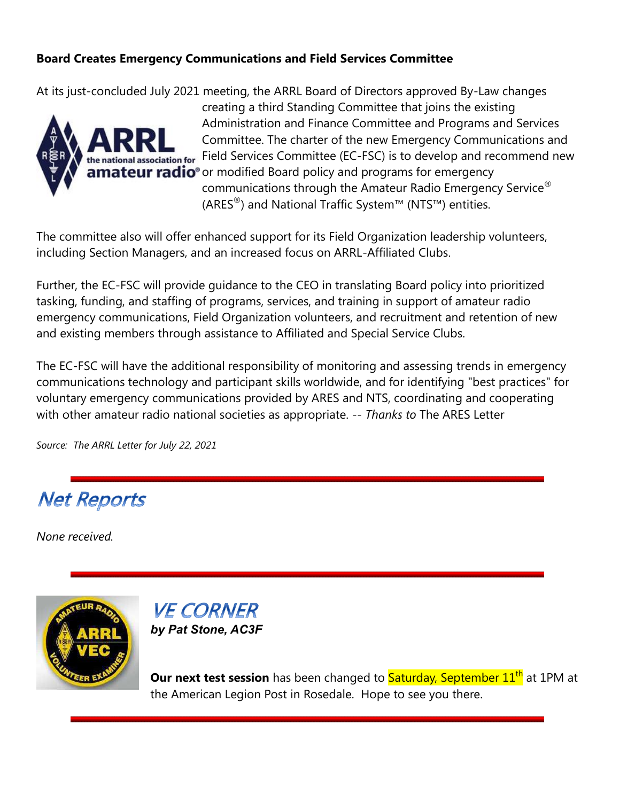# **Board Creates Emergency Communications and Field Services Committee**

At its just-concluded July 2021 meeting, the ARRL Board of Directors approved By-Law changes



creating a third Standing Committee that joins the existing Administration and Finance Committee and Programs and Services Committee. The charter of the new Emergency Communications and **Figure 3** Field Services Committee (EC-FSC) is to develop and recommend new nateur radio<sup>®</sup> or modified Board policy and programs for emergency communications through the Amateur Radio Emergency Service® (ARES<sup>®</sup>) and National Traffic System™ (NTS™) entities.

The committee also will offer enhanced support for its Field Organization leadership volunteers, including Section Managers, and an increased focus on ARRL-Affiliated Clubs.

Further, the EC-FSC will provide guidance to the CEO in translating Board policy into prioritized tasking, funding, and staffing of programs, services, and training in support of amateur radio emergency communications, Field Organization volunteers, and recruitment and retention of new and existing members through assistance to Affiliated and Special Service Clubs.

The EC-FSC will have the additional responsibility of monitoring and assessing trends in emergency communications technology and participant skills worldwide, and for identifying "best practices" for voluntary emergency communications provided by ARES and NTS, coordinating and cooperating with other amateur radio national societies as appropriate. *-- Thanks to* The ARES Letter

*Source: The ARRL Letter for July 22, 2021*

# **Net Reports**

*None received.*





**Our next test session** has been changed to **Saturday, September 11<sup>th</sup> at 1PM at** the American Legion Post in Rosedale. Hope to see you there.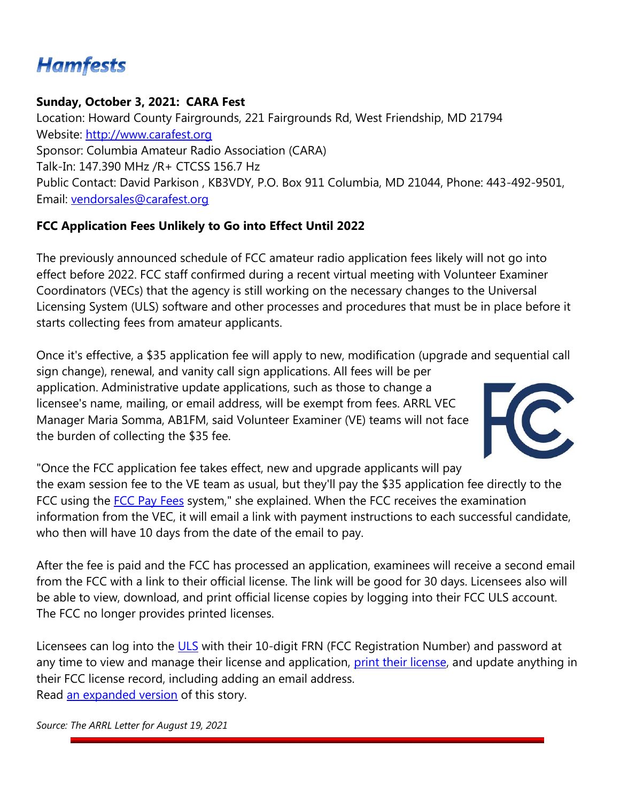# **Hamfests**

# **Sunday, October 3, 2021: CARA Fest**

Location: Howard County Fairgrounds, 221 Fairgrounds Rd, West Friendship, MD 21794 Website: [http://www.carafest.org](http://www.carafest.org/) Sponsor: Columbia Amateur Radio Association (CARA) Talk-In: 147.390 MHz /R+ CTCSS 156.7 Hz Public Contact: David Parkison , KB3VDY, P.O. Box 911 Columbia, MD 21044, Phone: 443-492-9501, Email: [vendorsales@carafest.org](mailto:vendorsales@carafest.org)

# **FCC Application Fees Unlikely to Go into Effect Until 2022**

The previously announced schedule of FCC amateur radio application fees likely will not go into effect before 2022. FCC staff confirmed during a recent virtual meeting with Volunteer Examiner Coordinators (VECs) that the agency is still working on the necessary changes to the Universal Licensing System (ULS) software and other processes and procedures that must be in place before it starts collecting fees from amateur applicants.

Once it's effective, a \$35 application fee will apply to new, modification (upgrade and sequential call sign change), renewal, and vanity call sign applications. All fees will be per application. Administrative update applications, such as those to change a licensee's name, mailing, or email address, will be exempt from fees. ARRL VEC Manager Maria Somma, AB1FM, said Volunteer Examiner (VE) teams will not face the burden of collecting the \$35 fee.



"Once the FCC application fee takes effect, new and upgrade applicants will pay the exam session fee to the VE team as usual, but they'll pay the \$35 application fee directly to the FCC using the [FCC Pay Fees](https://apps2.fcc.gov/Batch_Filer/login.cfm) system," she explained. When the FCC receives the examination information from the VEC, it will email a link with payment instructions to each successful candidate, who then will have 10 days from the date of the email to pay.

After the fee is paid and the FCC has processed an application, examinees will receive a second email from the FCC with a link to their official license. The link will be good for 30 days. Licensees also will be able to view, download, and print official license copies by logging into their FCC ULS account. The FCC no longer provides printed licenses.

Licensees can log into the [ULS](https://www.fcc.gov/wireless/universal-licensing-system) with their 10-digit FRN (FCC Registration Number) and password at any time to view and manage their license and application, [print their license,](http://www.arrl.org/obtain-license-copy) and update anything in their FCC license record, including adding an email address. Read [an expanded version](http://www.arrl.org/news/fcc-application-fees-unlikely-to-go-into-effect-until-2022) of this story.